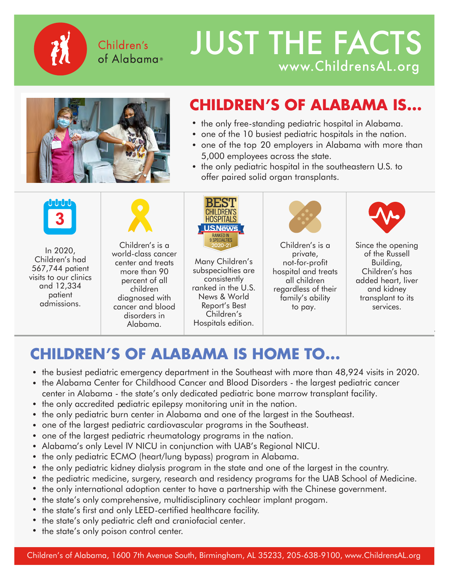Children's of Alabama®

# JUST THE FACTS www.ChildrensAL.org/PlannedGiving-



# **CHILDREN'S OF ALABAMA IS...**

- the only free-standing pediatric hospital in Alabama.
- **one of the 10 busiest pediatric hospitals in the nation.**<br>
one of the 10 busiest pediatric hospitals in the nation.
- one of the top 20 employers in Alabama with more than  $\frac{1}{2}$ 5,000 employees across the state.
- the only pediatric hospital in the southeastern U.S. to offer paired solid organ transplants.



In 2020,  $\frac{10}{2}$  Children's Line Children's had<br>Carl 744 567,744 patient visits to our clinics visits to our clinics and 12,334 patient<br>L admissions. admissions.patient



Children's is a Children's is a world-class cancer world-class cancer center and treats center and treats more than 90 more than 90 percent of all percent of all children children diagnosed with diagnosed with cancer and blood disorders in Alabama.



in a row, several Many Children's sub-specialties subspecialties are consistently ranked in the U.S. News & World Report's Best Children's Hospitals edition.



Children's is a Children's is a private, private, not-for-profit not-for-profit hospital and treats all children children regardless of their regardless of their family's ability to family's ability to pay.



Since the opening Since the opening of the Russell of the Russell Building, Building, Children's has Children's has added heart, liver and kidney transplant to its services.

# **CHILDREN'S OF ALABAMA IS HOME TO... CHILDREN'S OF ALABAMA IS HOME TO...** Fraction of the busists of their and 12,334 percent of all consistently children patient diagnosed with annual consistently regardless of their and kidney diagnosed with the U.S. and the U.S. and the mail of the mail of th

- the busiest pediatric emergency department in the Southeast with ma
- the busiest pediatric emergency department in the Southeast with more than 48,924 visits in 2020.<br>• the Alabama Center for Childhood Cancer and Blood Disorders the largest pediatric cancer center in Alabama - the state's only dedicated pediatric bone marrow transplant facility.
- the only accredited pediatric epilepsy monitoring unit in the nation.
- the only pediatric burn center in Alabama and one of the largest in the Southeast.
- one of the largest pediatric cardiovascular programs in the Southeast.
- one of the largest pediatric rheumatology programs in the nation. one of the largest pediatric rheumatology programs in the nation.
- Alabama's only Level IV NICU in conjunction with UAB's Regional NICU.
- the only pediatric ECMO (heart/lung bypass) program in Alabama.
- the only pediatric kidney dialysis program in the state and one of the largest in the country.
- the pediatric medicine, surgery, research and residency programs for the UAB School of Medicine.
- the only international adoption center to have a partnership with the Chinese government. the only international adoption center to have a partnership with the Chinese government.
- the state's only comprehensive, multidisciplinary cochlear implant progam. the state's only comprehensive, multidisciplinary cochlear implant progam.
- the state's first and only LEED-certified healthcare facility. the state's first and only LEED-certified healthcare facility.
- the state's only pediatric cleft and craniofacial center.
- the state's only poison control center. **•** *Allentations*  $\alpha$  is the state's only poison control center.